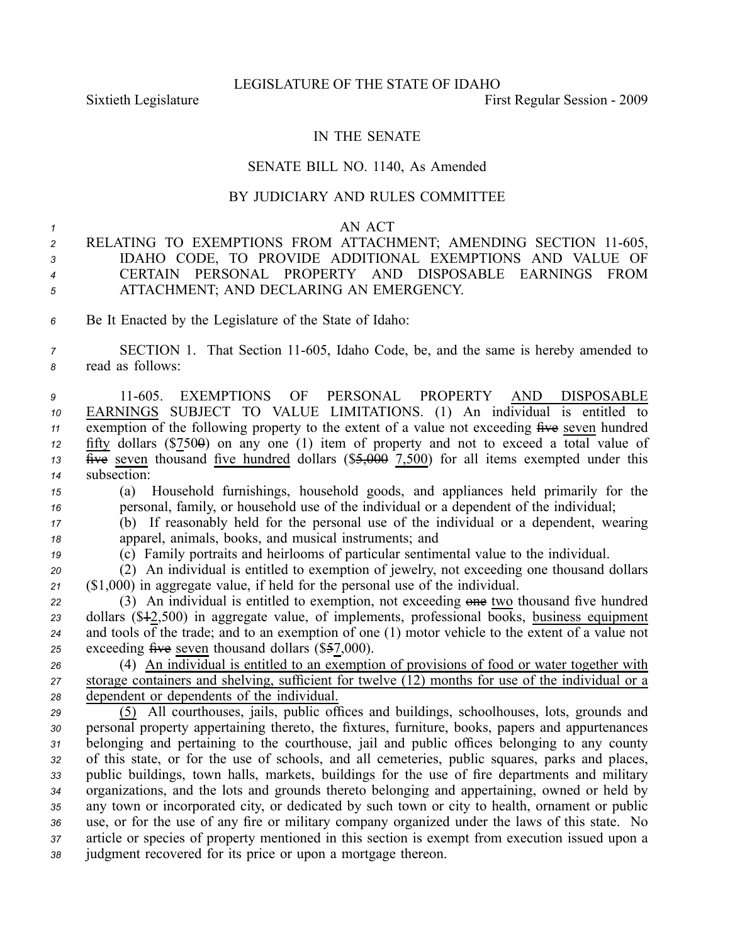Sixtieth Legislature **First** Regular Session - 2009

## IN THE SENATE

## SENATE BILL NO. 1140, As Amended

## BY JUDICIARY AND RULES COMMITTEE

## *1* AN ACT

 RELATING TO EXEMPTIONS FROM ATTACHMENT; AMENDING SECTION 11-605, IDAHO CODE, TO PROVIDE ADDITIONAL EXEMPTIONS AND VALUE OF CERTAIN PERSONAL PROPERTY AND DISPOSABLE EARNINGS FROM ATTACHMENT; AND DECLARING AN EMERGENCY.

*<sup>6</sup>* Be It Enacted by the Legislature of the State of Idaho:

*<sup>7</sup>* SECTION 1. That Section 11605, Idaho Code, be, and the same is hereby amended to *<sup>8</sup>* read as follows:

 11605. EXEMPTIONS OF PERSONAL PROPERTY AND DISPOSABLE EARNINGS SUBJECT TO VALUE LIMITATIONS. (1) An individual is entitled to exemption of the following property to the extent of a value not exceeding five seven hundred fifty dollars  $(\$750\theta)$  on any one (1) item of property and not to exceed a total value of  $\frac{1}{4}$   $\frac{1}{4}$  seven thousand five hundred dollars (\$5,000 7,500) for all items exempted under this subsection:

*<sup>15</sup>* (a) Household furnishings, household goods, and appliances held primarily for the *<sup>16</sup>* personal, family, or household use of the individual or <sup>a</sup> dependent of the individual;

*<sup>17</sup>* (b) If reasonably held for the personal use of the individual or <sup>a</sup> dependent, wearing *<sup>18</sup>* apparel, animals, books, and musical instruments; and

*<sup>19</sup>* (c) Family portraits and heirlooms of particular sentimental value to the individual.

*<sup>20</sup>* (2) An individual is entitled to exemption of jewelry, not exceeding one thousand dollars *<sup>21</sup>* (\$1,000) in aggregate value, if held for the personal use of the individual.

*<sup>22</sup>* (3) An individual is entitled to exemption, not exceeding one two thousand five hundred *<sup>23</sup>* dollars (\$12,500) in aggregate value, of implements, professional books, business equipment 24 and tools of the trade; and to an exemption of one  $(1)$  motor vehicle to the extent of a value not 25 exceeding five seven thousand dollars (\$57,000).

*<sup>26</sup>* (4) An individual is entitled to an exemption of provisions of food or water together with *<sup>27</sup>* storage containers and shelving, sufficient for twelve (12) months for use of the individual or <sup>a</sup> *<sup>28</sup>* dependent or dependents of the individual.

 (5) All courthouses, jails, public offices and buildings, schoolhouses, lots, grounds and personal property appertaining thereto, the fixtures, furniture, books, papers and appurtenances belonging and pertaining to the courthouse, jail and public offices belonging to any county of this state, or for the use of schools, and all cemeteries, public squares, parks and places, public buildings, town halls, markets, buildings for the use of fire departments and military organizations, and the lots and grounds thereto belonging and appertaining, owned or held by any town or incorporated city, or dedicated by such town or city to health, ornament or public use, or for the use of any fire or military company organized under the laws of this state. No article or species of property mentioned in this section is exemp<sup>t</sup> from execution issued upon <sup>a</sup> judgment recovered for its price or upon <sup>a</sup> mortgage thereon.